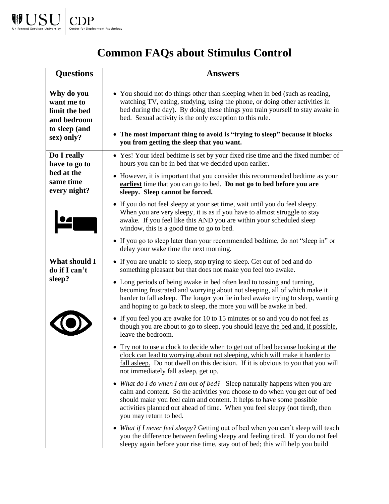

## **Common FAQs about Stimulus Control**

| <b>Questions</b>                                                                        | <b>Answers</b>                                                                                                                                                                                                                                                                                                                                                                                                                        |
|-----------------------------------------------------------------------------------------|---------------------------------------------------------------------------------------------------------------------------------------------------------------------------------------------------------------------------------------------------------------------------------------------------------------------------------------------------------------------------------------------------------------------------------------|
| Why do you<br>want me to<br>limit the bed<br>and bedroom<br>to sleep (and<br>sex) only? | • You should not do things other than sleeping when in bed (such as reading,<br>watching TV, eating, studying, using the phone, or doing other activities in<br>bed during the day). By doing these things you train yourself to stay awake in<br>bed. Sexual activity is the only exception to this rule.<br>• The most important thing to avoid is "trying to sleep" because it blocks<br>you from getting the sleep that you want. |
| Do I really<br>have to go to<br>bed at the<br>same time<br>every night?                 | • Yes! Your ideal bedtime is set by your fixed rise time and the fixed number of<br>hours you can be in bed that we decided upon earlier.                                                                                                                                                                                                                                                                                             |
|                                                                                         | • However, it is important that you consider this recommended bedtime as your<br>earliest time that you can go to bed. Do not go to bed before you are<br>sleepy. Sleep cannot be forced.                                                                                                                                                                                                                                             |
|                                                                                         | • If you do not feel sleepy at your set time, wait until you do feel sleepy.<br>When you are very sleepy, it is as if you have to almost struggle to stay<br>awake. If you feel like this AND you are within your scheduled sleep<br>window, this is a good time to go to bed.                                                                                                                                                        |
|                                                                                         | • If you go to sleep later than your recommended bedtime, do not "sleep in" or<br>delay your wake time the next morning.                                                                                                                                                                                                                                                                                                              |
| What should I<br>do if I can't<br>sleep?                                                | • If you are unable to sleep, stop trying to sleep. Get out of bed and do<br>something pleasant but that does not make you feel too awake.                                                                                                                                                                                                                                                                                            |
|                                                                                         | • Long periods of being awake in bed often lead to tossing and turning,<br>becoming frustrated and worrying about not sleeping, all of which make it<br>harder to fall asleep. The longer you lie in bed awake trying to sleep, wanting<br>and hoping to go back to sleep, the more you will be awake in bed.                                                                                                                         |
|                                                                                         | • If you feel you are awake for 10 to 15 minutes or so and you do not feel as<br>though you are about to go to sleep, you should leave the bed and, if possible,<br>leave the bedroom.                                                                                                                                                                                                                                                |
|                                                                                         | • Try not to use a clock to decide when to get out of bed because looking at the<br>clock can lead to worrying about not sleeping, which will make it harder to<br>fall asleep. Do not dwell on this decision. If it is obvious to you that you will<br>not immediately fall asleep, get up.                                                                                                                                          |
|                                                                                         | • What do I do when I am out of bed? Sleep naturally happens when you are<br>calm and content. So the activities you choose to do when you get out of bed<br>should make you feel calm and content. It helps to have some possible<br>activities planned out ahead of time. When you feel sleepy (not tired), then<br>you may return to bed.                                                                                          |
|                                                                                         | • What if I never feel sleepy? Getting out of bed when you can't sleep will teach<br>you the difference between feeling sleepy and feeling tired. If you do not feel<br>sleepy again before your rise time, stay out of bed; this will help you build                                                                                                                                                                                 |